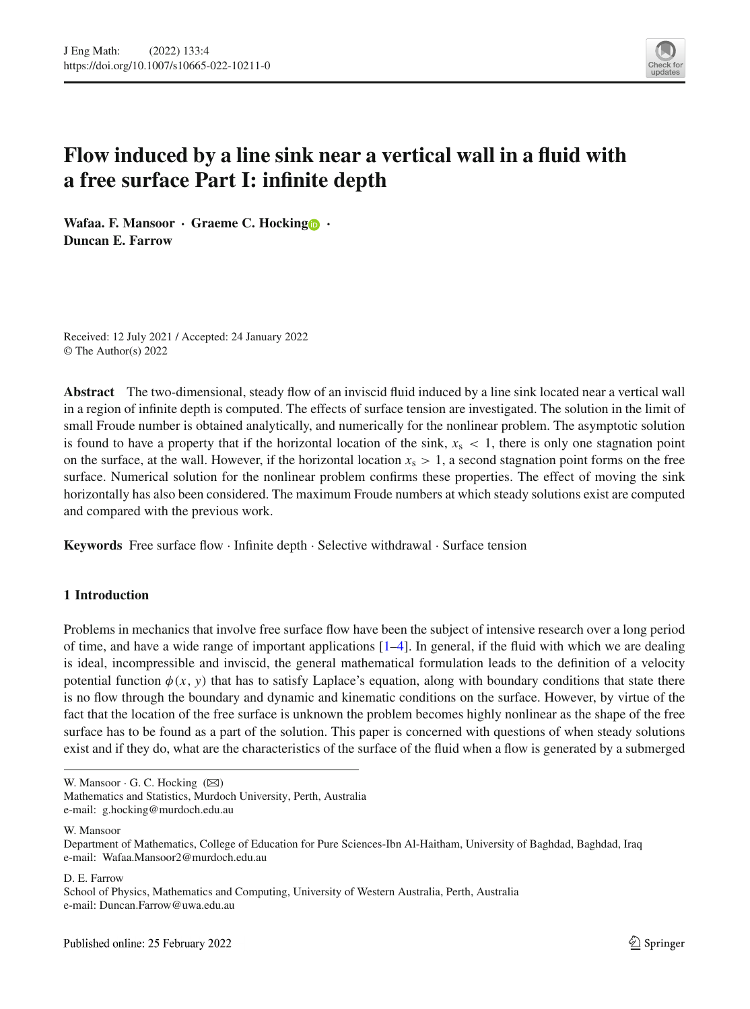

# **Flow induced by a line sink near a vertical wall in a fluid with a free surface Part I: infinite depth**

**Wafaa. F. Mansoor · Graeme C. Hockin[g](http://orcid.org/0000-0002-5812-6015) · Duncan E. Farrow**

Received: 12 July 2021 / Accepted: 24 January 2022 © The Author(s) 2022

**Abstract** The two-dimensional, steady flow of an inviscid fluid induced by a line sink located near a vertical wall in a region of infinite depth is computed. The effects of surface tension are investigated. The solution in the limit of small Froude number is obtained analytically, and numerically for the nonlinear problem. The asymptotic solution is found to have a property that if the horizontal location of the sink,  $x<sub>s</sub> < 1$ , there is only one stagnation point on the surface, at the wall. However, if the horizontal location  $x_s > 1$ , a second stagnation point forms on the free surface. Numerical solution for the nonlinear problem confirms these properties. The effect of moving the sink horizontally has also been considered. The maximum Froude numbers at which steady solutions exist are computed and compared with the previous work.

**Keywords** Free surface flow · Infinite depth · Selective withdrawal · Surface tension

# **1 Introduction**

Problems in mechanics that involve free surface flow have been the subject of intensive research over a long period of time, and have a wide range of important applications  $[1-4]$  $[1-4]$ . In general, if the fluid with which we are dealing is ideal, incompressible and inviscid, the general mathematical formulation leads to the definition of a velocity potential function  $\phi(x, y)$  that has to satisfy Laplace's equation, along with boundary conditions that state there is no flow through the boundary and dynamic and kinematic conditions on the surface. However, by virtue of the fact that the location of the free surface is unknown the problem becomes highly nonlinear as the shape of the free surface has to be found as a part of the solution. This paper is concerned with questions of when steady solutions exist and if they do, what are the characteristics of the surface of the fluid when a flow is generated by a submerged

W. Mansoor

D. E. Farrow

School of Physics, Mathematics and Computing, University of Western Australia, Perth, Australia e-mail: Duncan.Farrow@uwa.edu.au

W. Mansoor  $\cdot$  G. C. Hocking  $(\boxtimes)$ 

Mathematics and Statistics, Murdoch University, Perth, Australia

e-mail: g.hocking@murdoch.edu.au

Department of Mathematics, College of Education for Pure Sciences-Ibn Al-Haitham, University of Baghdad, Baghdad, Iraq e-mail: Wafaa.Mansoor2@murdoch.edu.au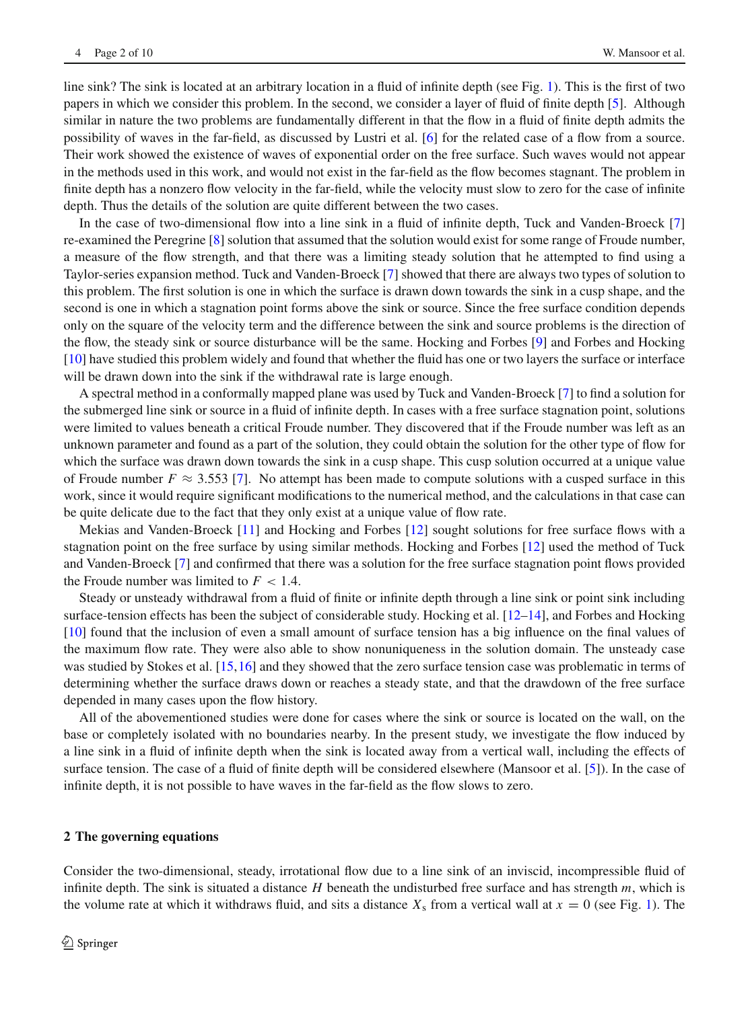line sink? The sink is located at an arbitrary location in a fluid of infinite depth (see Fig. [1\)](#page-2-0). This is the first of two papers in which we consider this problem. In the second, we consider a layer of fluid of finite depth [\[5\]](#page-9-2). Although similar in nature the two problems are fundamentally different in that the flow in a fluid of finite depth admits the possibility of waves in the far-field, as discussed by Lustri et al. [\[6](#page-9-3)] for the related case of a flow from a source. Their work showed the existence of waves of exponential order on the free surface. Such waves would not appear in the methods used in this work, and would not exist in the far-field as the flow becomes stagnant. The problem in finite depth has a nonzero flow velocity in the far-field, while the velocity must slow to zero for the case of infinite depth. Thus the details of the solution are quite different between the two cases.

In the case of two-dimensional flow into a line sink in a fluid of infinite depth, Tuck and Vanden-Broeck [\[7\]](#page-9-4) re-examined the Peregrine [\[8\]](#page-9-5) solution that assumed that the solution would exist for some range of Froude number, a measure of the flow strength, and that there was a limiting steady solution that he attempted to find using a Taylor-series expansion method. Tuck and Vanden-Broeck [\[7\]](#page-9-4) showed that there are always two types of solution to this problem. The first solution is one in which the surface is drawn down towards the sink in a cusp shape, and the second is one in which a stagnation point forms above the sink or source. Since the free surface condition depends only on the square of the velocity term and the difference between the sink and source problems is the direction of the flow, the steady sink or source disturbance will be the same. Hocking and Forbes [\[9](#page-9-6)] and Forbes and Hocking [\[10\]](#page-9-7) have studied this problem widely and found that whether the fluid has one or two layers the surface or interface will be drawn down into the sink if the withdrawal rate is large enough.

A spectral method in a conformally mapped plane was used by Tuck and Vanden-Broeck [\[7\]](#page-9-4) to find a solution for the submerged line sink or source in a fluid of infinite depth. In cases with a free surface stagnation point, solutions were limited to values beneath a critical Froude number. They discovered that if the Froude number was left as an unknown parameter and found as a part of the solution, they could obtain the solution for the other type of flow for which the surface was drawn down towards the sink in a cusp shape. This cusp solution occurred at a unique value of Froude number  $F \approx 3.553$  [\[7\]](#page-9-4). No attempt has been made to compute solutions with a cusped surface in this work, since it would require significant modifications to the numerical method, and the calculations in that case can be quite delicate due to the fact that they only exist at a unique value of flow rate.

Mekias and Vanden-Broeck [\[11](#page-9-8)] and Hocking and Forbes [\[12](#page-9-9)] sought solutions for free surface flows with a stagnation point on the free surface by using similar methods. Hocking and Forbes [\[12](#page-9-9)] used the method of Tuck and Vanden-Broeck [\[7\]](#page-9-4) and confirmed that there was a solution for the free surface stagnation point flows provided the Froude number was limited to  $F < 1.4$ .

Steady or unsteady withdrawal from a fluid of finite or infinite depth through a line sink or point sink including surface-tension effects has been the subject of considerable study. Hocking et al. [\[12](#page-9-9)[–14](#page-9-10)], and Forbes and Hocking [\[10\]](#page-9-7) found that the inclusion of even a small amount of surface tension has a big influence on the final values of the maximum flow rate. They were also able to show nonuniqueness in the solution domain. The unsteady case was studied by Stokes et al. [\[15,](#page-9-11)[16\]](#page-9-12) and they showed that the zero surface tension case was problematic in terms of determining whether the surface draws down or reaches a steady state, and that the drawdown of the free surface depended in many cases upon the flow history.

All of the abovementioned studies were done for cases where the sink or source is located on the wall, on the base or completely isolated with no boundaries nearby. In the present study, we investigate the flow induced by a line sink in a fluid of infinite depth when the sink is located away from a vertical wall, including the effects of surface tension. The case of a fluid of finite depth will be considered elsewhere (Mansoor et al. [\[5\]](#page-9-2)). In the case of infinite depth, it is not possible to have waves in the far-field as the flow slows to zero.

#### **2 The governing equations**

Consider the two-dimensional, steady, irrotational flow due to a line sink of an inviscid, incompressible fluid of infinite depth. The sink is situated a distance *H* beneath the undisturbed free surface and has strength *m*, which is the volume rate at which it withdraws fluid, and sits a distance  $X_s$  from a vertical wall at  $x = 0$  (see Fig. [1\)](#page-2-0). The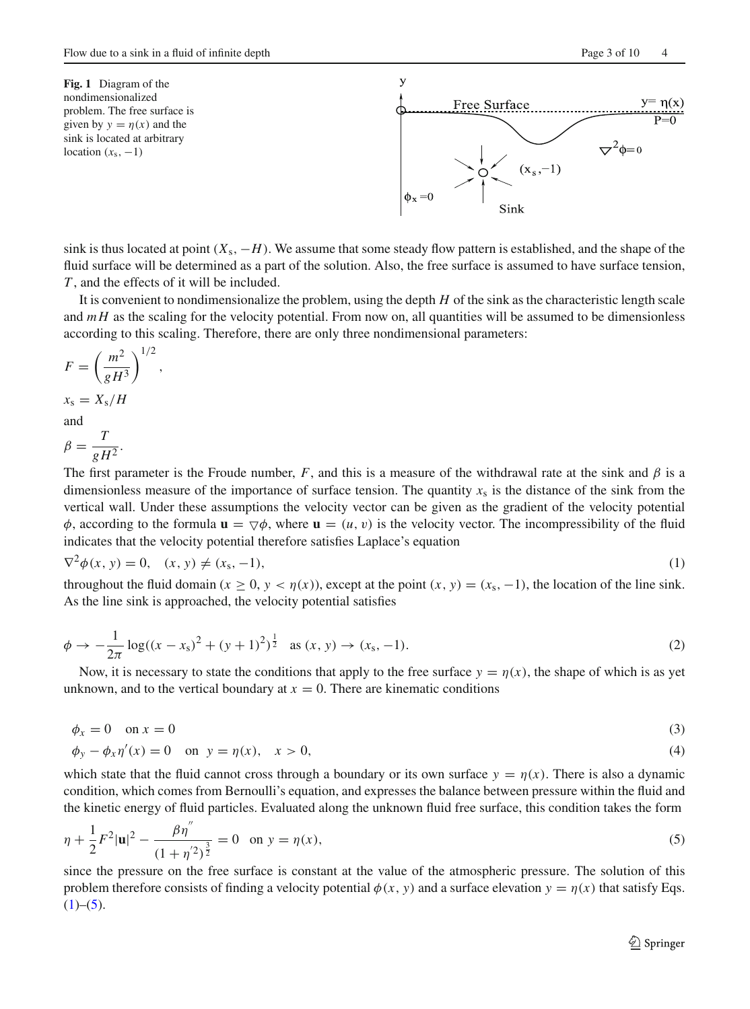<span id="page-2-0"></span>**Fig. 1** Diagram of the nondimensionalized problem. The free surface is given by  $y = \eta(x)$  and the sink is located at arbitrary location  $(x<sub>s</sub>, -1)$ 



sink is thus located at point  $(X_s, -H)$ . We assume that some steady flow pattern is established, and the shape of the fluid surface will be determined as a part of the solution. Also, the free surface is assumed to have surface tension, *T* , and the effects of it will be included.

It is convenient to nondimensionalize the problem, using the depth *H* of the sink as the characteristic length scale and  $mH$  as the scaling for the velocity potential. From now on, all quantities will be assumed to be dimensionless according to this scaling. Therefore, there are only three nondimensional parameters:

$$
F = \left(\frac{m^2}{gH^3}\right)^{1/2},
$$
  

$$
x_s = X_s/H
$$

and

$$
\beta = \frac{T}{gH^2}.
$$

The first parameter is the Froude number, *F*, and this is a measure of the withdrawal rate at the sink and  $\beta$  is a dimensionless measure of the importance of surface tension. The quantity  $x<sub>s</sub>$  is the distance of the sink from the vertical wall. Under these assumptions the velocity vector can be given as the gradient of the velocity potential  $\phi$ , according to the formula  $\mathbf{u} = \nabla \phi$ , where  $\mathbf{u} = (u, v)$  is the velocity vector. The incompressibility of the fluid indicates that the velocity potential therefore satisfies Laplace's equation

<span id="page-2-1"></span>
$$
\nabla^2 \phi(x, y) = 0, \quad (x, y) \neq (x_{\rm s}, -1), \tag{1}
$$

throughout the fluid domain ( $x \ge 0$ ,  $y < \eta(x)$ ), except at the point  $(x, y) = (x_s, -1)$ , the location of the line sink. As the line sink is approached, the velocity potential satisfies

<span id="page-2-3"></span>
$$
\phi \to -\frac{1}{2\pi} \log((x - x_s)^2 + (y + 1)^2)^{\frac{1}{2}} \quad \text{as } (x, y) \to (x_s, -1). \tag{2}
$$

Now, it is necessary to state the conditions that apply to the free surface  $y = \eta(x)$ , the shape of which is as yet unknown, and to the vertical boundary at  $x = 0$ . There are kinematic conditions

<span id="page-2-4"></span>
$$
\phi_x = 0 \quad \text{on } x = 0 \tag{3}
$$

$$
\phi_y - \phi_x \eta'(x) = 0
$$
 on  $y = \eta(x)$ ,  $x > 0$ , (4)

which state that the fluid cannot cross through a boundary or its own surface  $y = \eta(x)$ . There is also a dynamic condition, which comes from Bernoulli's equation, and expresses the balance between pressure within the fluid and the kinetic energy of fluid particles. Evaluated along the unknown fluid free surface, this condition takes the form

<span id="page-2-2"></span>
$$
\eta + \frac{1}{2}F^2|\mathbf{u}|^2 - \frac{\beta\eta''}{(1+\eta'^2)^{\frac{3}{2}}} = 0 \quad \text{on } y = \eta(x),\tag{5}
$$

since the pressure on the free surface is constant at the value of the atmospheric pressure. The solution of this problem therefore consists of finding a velocity potential  $\phi(x, y)$  and a surface elevation  $y = \eta(x)$  that satisfy Eqs.  $(1)–(5)$  $(1)–(5)$  $(1)–(5)$ .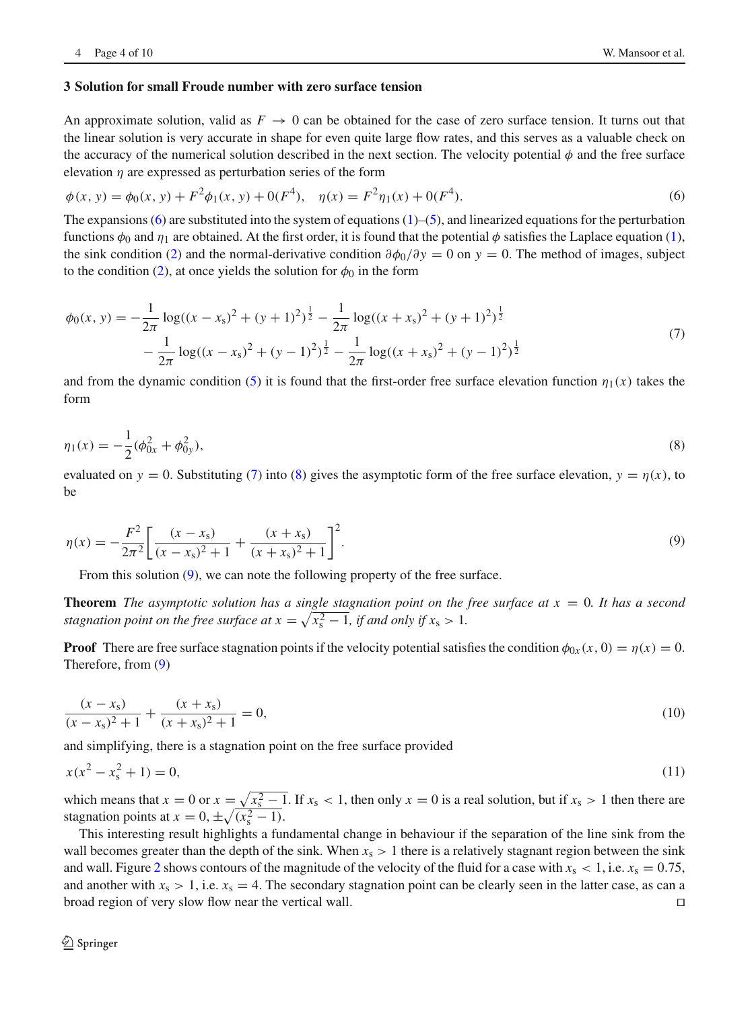## **3 Solution for small Froude number with zero surface tension**

An approximate solution, valid as  $F \to 0$  can be obtained for the case of zero surface tension. It turns out that the linear solution is very accurate in shape for even quite large flow rates, and this serves as a valuable check on the accuracy of the numerical solution described in the next section. The velocity potential  $\phi$  and the free surface elevation  $\eta$  are expressed as perturbation series of the form

<span id="page-3-0"></span>
$$
\phi(x, y) = \phi_0(x, y) + F^2 \phi_1(x, y) + 0(F^4), \quad \eta(x) = F^2 \eta_1(x) + 0(F^4).
$$
\n(6)

The expansions  $(6)$  are substituted into the system of equations  $(1)$ – $(5)$ , and linearized equations for the perturbation functions  $\phi_0$  and  $\eta_1$  are obtained. At the first order, it is found that the potential  $\phi$  satisfies the Laplace equation [\(1\)](#page-2-1), the sink condition [\(2\)](#page-2-3) and the normal-derivative condition  $\partial \phi_0 / \partial y = 0$  on  $y = 0$ . The method of images, subject to the condition [\(2\)](#page-2-3), at once yields the solution for  $\phi_0$  in the form

<span id="page-3-1"></span>
$$
\phi_0(x, y) = -\frac{1}{2\pi} \log((x - x_s)^2 + (y + 1)^2)^{\frac{1}{2}} - \frac{1}{2\pi} \log((x + x_s)^2 + (y + 1)^2)^{\frac{1}{2}} - \frac{1}{2\pi} \log((x - x_s)^2 + (y - 1)^2)^{\frac{1}{2}} - \frac{1}{2\pi} \log((x + x_s)^2 + (y - 1)^2)^{\frac{1}{2}}
$$
\n(7)

and from the dynamic condition [\(5\)](#page-2-2) it is found that the first-order free surface elevation function  $\eta_1(x)$  takes the form

<span id="page-3-2"></span>
$$
\eta_1(x) = -\frac{1}{2}(\phi_{0x}^2 + \phi_{0y}^2),\tag{8}
$$

evaluated on  $y = 0$ . Substituting [\(7\)](#page-3-1) into [\(8\)](#page-3-2) gives the asymptotic form of the free surface elevation,  $y = \eta(x)$ , to be

<span id="page-3-3"></span>
$$
\eta(x) = -\frac{F^2}{2\pi^2} \left[ \frac{(x - x_s)}{(x - x_s)^2 + 1} + \frac{(x + x_s)}{(x + x_s)^2 + 1} \right]^2.
$$
\n(9)

From this solution [\(9\)](#page-3-3), we can note the following property of the free surface.

**Theorem** *The asymptotic solution has a single stagnation point on the free surface at*  $x = 0$ *. It has a second stagnation point on the free surface at*  $x = \sqrt{x_s^2 - 1}$ , *if and only if*  $x_s > 1$ .

**Proof** There are free surface stagnation points if the velocity potential satisfies the condition  $\phi_{0x}(x, 0) = \eta(x) = 0$ . Therefore, from [\(9\)](#page-3-3)

$$
\frac{(x - x_s)}{(x - x_s)^2 + 1} + \frac{(x + x_s)}{(x + x_s)^2 + 1} = 0,\tag{10}
$$

and simplifying, there is a stagnation point on the free surface provided

$$
x(x^2 - x_s^2 + 1) = 0,\tag{11}
$$

which means that  $x = 0$  or  $x = \sqrt{x_s^2 - 1}$ . If  $x_s < 1$ , then only  $x = 0$  is a real solution, but if  $x_s > 1$  then there are stagnation points at  $x = 0, \pm \sqrt{(x_s^2 - 1)}$ .

This interesting result highlights a fundamental change in behaviour if the separation of the line sink from the wall becomes greater than the depth of the sink. When  $x_s > 1$  there is a relatively stagnant region between the sink and wall. Figure [2](#page-4-0) shows contours of the magnitude of the velocity of the fluid for a case with  $x_s < 1$ , i.e.  $x_s = 0.75$ , and another with  $x_s > 1$ , i.e.  $x_s = 4$ . The secondary stagnation point can be clearly seen in the latter case, as can a broad region of very slow flow near the vertical wall.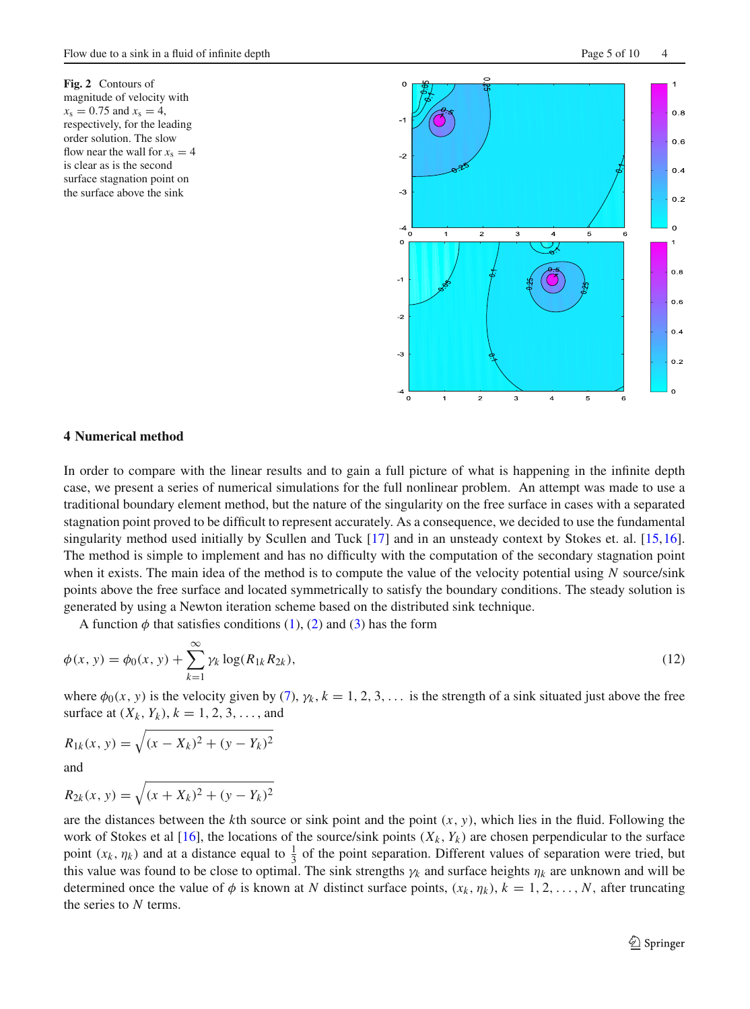<span id="page-4-0"></span>**Fig. 2** Contours of magnitude of velocity with  $x_s = 0.75$  and  $x_s = 4$ , respectively, for the leading order solution. The slow flow near the wall for  $x_s = 4$ is clear as is the second surface stagnation point on the surface above the sink



#### **4 Numerical method**

In order to compare with the linear results and to gain a full picture of what is happening in the infinite depth case, we present a series of numerical simulations for the full nonlinear problem. An attempt was made to use a traditional boundary element method, but the nature of the singularity on the free surface in cases with a separated stagnation point proved to be difficult to represent accurately. As a consequence, we decided to use the fundamental singularity method used initially by Scullen and Tuck [\[17\]](#page-9-13) and in an unsteady context by Stokes et. al. [\[15](#page-9-11)[,16](#page-9-12)]. The method is simple to implement and has no difficulty with the computation of the secondary stagnation point when it exists. The main idea of the method is to compute the value of the velocity potential using *N* source/sink points above the free surface and located symmetrically to satisfy the boundary conditions. The steady solution is generated by using a Newton iteration scheme based on the distributed sink technique.

A function  $\phi$  that satisfies conditions [\(1\)](#page-2-1), [\(2\)](#page-2-3) and [\(3\)](#page-2-4) has the form

$$
\phi(x, y) = \phi_0(x, y) + \sum_{k=1}^{\infty} \gamma_k \log(R_{1k} R_{2k}),
$$
\n(12)

where  $\phi_0(x, y)$  is the velocity given by [\(7\)](#page-3-1),  $\gamma_k$ ,  $k = 1, 2, 3, \ldots$  is the strength of a sink situated just above the free surface at  $(X_k, Y_k)$ ,  $k = 1, 2, 3, \ldots$ , and

$$
R_{1k}(x, y) = \sqrt{(x - X_k)^2 + (y - Y_k)^2}
$$

and

$$
R_{2k}(x, y) = \sqrt{(x + X_k)^2 + (y - Y_k)^2}
$$

are the distances between the  $k$ th source or sink point and the point  $(x, y)$ , which lies in the fluid. Following the work of Stokes et al [\[16\]](#page-9-12), the locations of the source/sink points  $(X_k, Y_k)$  are chosen perpendicular to the surface point  $(x_k, \eta_k)$  and at a distance equal to  $\frac{1}{3}$  of the point separation. Different values of separation were tried, but this value was found to be close to optimal. The sink strengths  $\gamma_k$  and surface heights  $\eta_k$  are unknown and will be determined once the value of  $\phi$  is known at *N* distinct surface points,  $(x_k, \eta_k)$ ,  $k = 1, 2, ..., N$ , after truncating the series to *N* terms.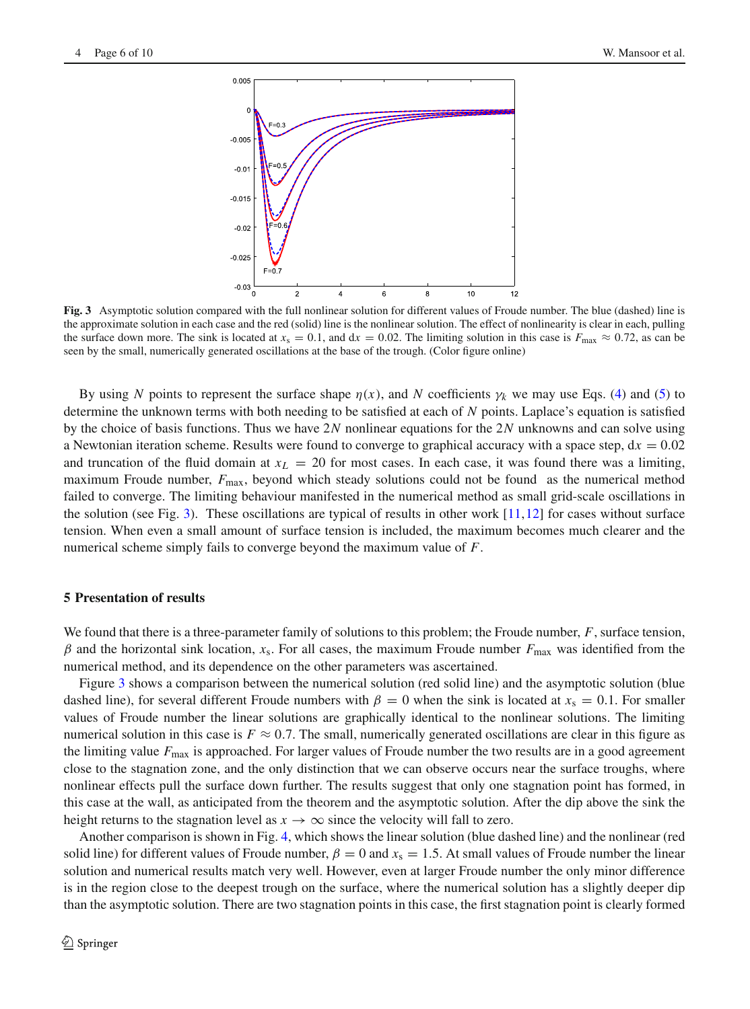

<span id="page-5-0"></span>**Fig. 3** Asymptotic solution compared with the full nonlinear solution for different values of Froude number. The blue (dashed) line is the approximate solution in each case and the red (solid) line is the nonlinear solution. The effect of nonlinearity is clear in each, pulling the surface down more. The sink is located at  $x_s = 0.1$ , and  $dx = 0.02$ . The limiting solution in this case is  $F_{\text{max}} \approx 0.72$ , as can be seen by the small, numerically generated oscillations at the base of the trough. (Color figure online)

By using *N* points to represent the surface shape  $\eta(x)$ , and *N* coefficients  $\gamma_k$  we may use Eqs. [\(4\)](#page-2-4) and [\(5\)](#page-2-2) to determine the unknown terms with both needing to be satisfied at each of *N* points. Laplace's equation is satisfied by the choice of basis functions. Thus we have 2*N* nonlinear equations for the 2*N* unknowns and can solve using a Newtonian iteration scheme. Results were found to converge to graphical accuracy with a space step,  $dx = 0.02$ and truncation of the fluid domain at  $x_L = 20$  for most cases. In each case, it was found there was a limiting, maximum Froude number, *F*max, beyond which steady solutions could not be found as the numerical method failed to converge. The limiting behaviour manifested in the numerical method as small grid-scale oscillations in the solution (see Fig. [3\)](#page-5-0). These oscillations are typical of results in other work  $[11,12]$  $[11,12]$  $[11,12]$  for cases without surface tension. When even a small amount of surface tension is included, the maximum becomes much clearer and the numerical scheme simply fails to converge beyond the maximum value of *F*.

## **5 Presentation of results**

We found that there is a three-parameter family of solutions to this problem; the Froude number, *F*, surface tension,  $β$  and the horizontal sink location,  $x_s$ . For all cases, the maximum Froude number  $F_{\text{max}}$  was identified from the numerical method, and its dependence on the other parameters was ascertained.

Figure [3](#page-5-0) shows a comparison between the numerical solution (red solid line) and the asymptotic solution (blue dashed line), for several different Froude numbers with  $\beta = 0$  when the sink is located at  $x_s = 0.1$ . For smaller values of Froude number the linear solutions are graphically identical to the nonlinear solutions. The limiting numerical solution in this case is  $F \approx 0.7$ . The small, numerically generated oscillations are clear in this figure as the limiting value  $F_{\text{max}}$  is approached. For larger values of Froude number the two results are in a good agreement close to the stagnation zone, and the only distinction that we can observe occurs near the surface troughs, where nonlinear effects pull the surface down further. The results suggest that only one stagnation point has formed, in this case at the wall, as anticipated from the theorem and the asymptotic solution. After the dip above the sink the height returns to the stagnation level as  $x \to \infty$  since the velocity will fall to zero.

Another comparison is shown in Fig. [4,](#page-6-0) which shows the linear solution (blue dashed line) and the nonlinear (red solid line) for different values of Froude number,  $\beta = 0$  and  $x_s = 1.5$ . At small values of Froude number the linear solution and numerical results match very well. However, even at larger Froude number the only minor difference is in the region close to the deepest trough on the surface, where the numerical solution has a slightly deeper dip than the asymptotic solution. There are two stagnation points in this case, the first stagnation point is clearly formed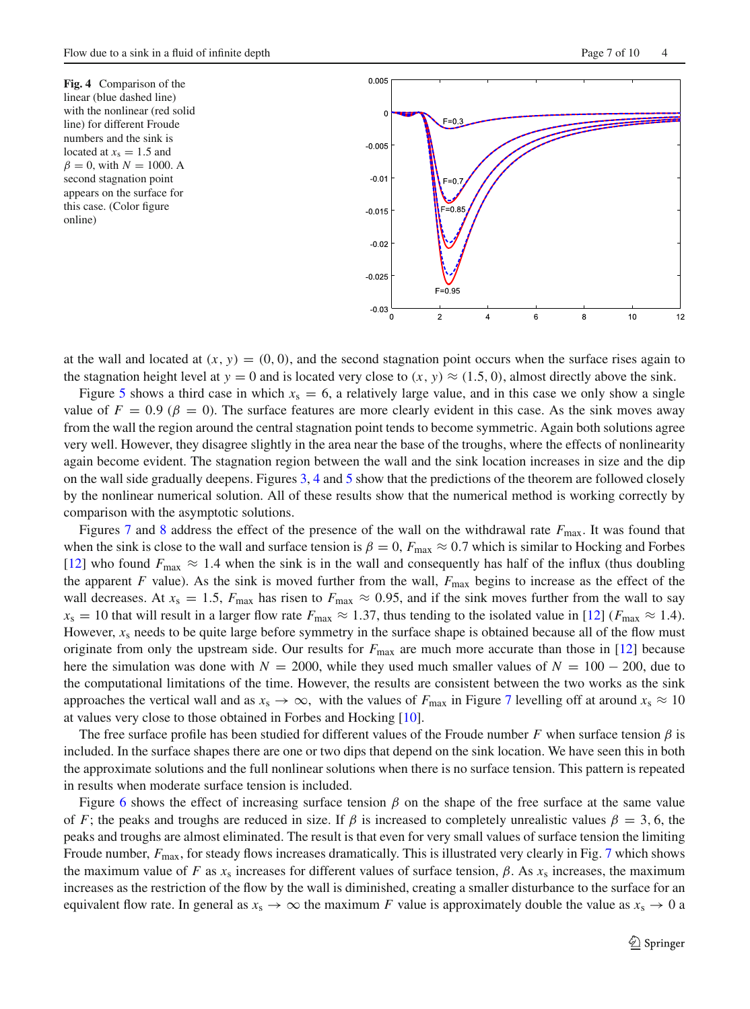<span id="page-6-0"></span>**Fig. 4** Comparison of the linear (blue dashed line) with the nonlinear (red solid line) for different Froude numbers and the sink is located at  $x_s = 1.5$  and  $\beta = 0$ , with  $N = 1000$ . A second stagnation point appears on the surface for this case. (Color figure online)



at the wall and located at  $(x, y) = (0, 0)$ , and the second stagnation point occurs when the surface rises again to the stagnation height level at  $y = 0$  and is located very close to  $(x, y) \approx (1.5, 0)$ , almost directly above the sink.

Figure [5](#page-7-0) shows a third case in which  $x_s = 6$ , a relatively large value, and in this case we only show a single value of  $F = 0.9$  ( $\beta = 0$ ). The surface features are more clearly evident in this case. As the sink moves away from the wall the region around the central stagnation point tends to become symmetric. Again both solutions agree very well. However, they disagree slightly in the area near the base of the troughs, where the effects of nonlinearity again become evident. The stagnation region between the wall and the sink location increases in size and the dip on the wall side gradually deepens. Figures [3,](#page-5-0) [4](#page-6-0) and [5](#page-7-0) show that the predictions of the theorem are followed closely by the nonlinear numerical solution. All of these results show that the numerical method is working correctly by comparison with the asymptotic solutions.

Figures [7](#page-8-0) and [8](#page-8-1) address the effect of the presence of the wall on the withdrawal rate *F*max. It was found that when the sink is close to the wall and surface tension is  $\beta = 0$ ,  $F_{\text{max}} \approx 0.7$  which is similar to Hocking and Forbes [\[12\]](#page-9-9) who found  $F_{\text{max}} \approx 1.4$  when the sink is in the wall and consequently has half of the influx (thus doubling the apparent *F* value). As the sink is moved further from the wall,  $F_{\text{max}}$  begins to increase as the effect of the wall decreases. At  $x_s = 1.5$ ,  $F_{\text{max}}$  has risen to  $F_{\text{max}} \approx 0.95$ , and if the sink moves further from the wall to say  $x_s = 10$  that will result in a larger flow rate  $F_{\text{max}} \approx 1.37$ , thus tending to the isolated value in [\[12](#page-9-9)] ( $F_{\text{max}} \approx 1.4$ ). However,  $x_s$  needs to be quite large before symmetry in the surface shape is obtained because all of the flow must originate from only the upstream side. Our results for *F*max are much more accurate than those in [\[12\]](#page-9-9) because here the simulation was done with  $N = 2000$ , while they used much smaller values of  $N = 100 - 200$ , due to the computational limitations of the time. However, the results are consistent between the two works as the sink approaches the vertical wall and as  $x_s \to \infty$ , with the values of *F*<sub>max</sub> in Figure [7](#page-8-0) levelling off at around  $x_s \approx 10$ at values very close to those obtained in Forbes and Hocking [\[10](#page-9-7)].

The free surface profile has been studied for different values of the Froude number *F* when surface tension  $\beta$  is included. In the surface shapes there are one or two dips that depend on the sink location. We have seen this in both the approximate solutions and the full nonlinear solutions when there is no surface tension. This pattern is repeated in results when moderate surface tension is included.

Figure [6](#page-7-1) shows the effect of increasing surface tension  $\beta$  on the shape of the free surface at the same value of *F*; the peaks and troughs are reduced in size. If  $\beta$  is increased to completely unrealistic values  $\beta = 3$ , 6, the peaks and troughs are almost eliminated. The result is that even for very small values of surface tension the limiting Froude number,  $F_{\text{max}}$ , for steady flows increases dramatically. This is illustrated very clearly in Fig. [7](#page-8-0) which shows the maximum value of *F* as  $x_s$  increases for different values of surface tension,  $\beta$ . As  $x_s$  increases, the maximum increases as the restriction of the flow by the wall is diminished, creating a smaller disturbance to the surface for an equivalent flow rate. In general as  $x_s \to \infty$  the maximum *F* value is approximately double the value as  $x_s \to 0$  a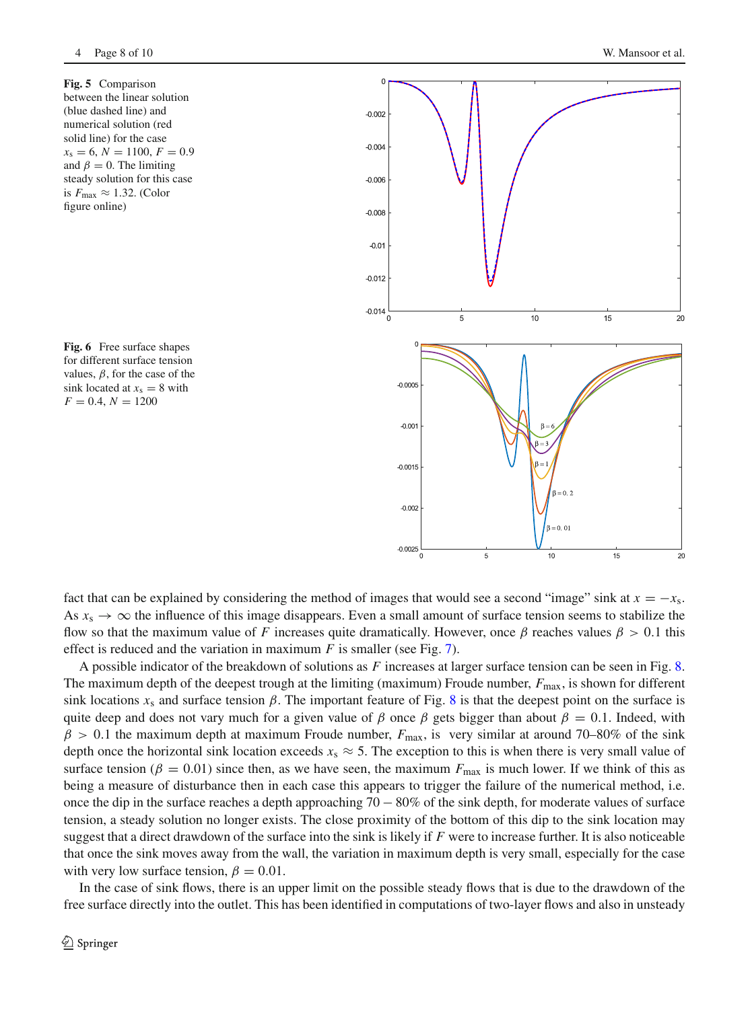**Fig. 5** Comparison between the linear solution (blue dashed line) and numerical solution (red solid line) for the case  $x_s = 6, N = 1100, F = 0.9$ and  $\beta = 0$ . The limiting steady solution for this case is  $F_{\text{max}} \approx 1.32$ . (Color figure online)

<span id="page-7-1"></span>**Fig. 6** Free surface shapes for different surface tension values,  $\beta$ , for the case of the sink located at  $x_s = 8$  with  $F = 0.4, N = 1200$ 

<span id="page-7-0"></span>

fact that can be explained by considering the method of images that would see a second "image" sink at  $x = -x_s$ . As  $x_s \to \infty$  the influence of this image disappears. Even a small amount of surface tension seems to stabilize the flow so that the maximum value of *F* increases quite dramatically. However, once  $\beta$  reaches values  $\beta > 0.1$  this effect is reduced and the variation in maximum *F* is smaller (see Fig. [7\)](#page-8-0).

A possible indicator of the breakdown of solutions as *F* increases at larger surface tension can be seen in Fig. [8.](#page-8-1) The maximum depth of the deepest trough at the limiting (maximum) Froude number,  $F_{\text{max}}$ , is shown for different sink locations  $x_s$  and surface tension  $\beta$ . The important feature of Fig. [8](#page-8-1) is that the deepest point on the surface is quite deep and does not vary much for a given value of β once β gets bigger than about  $\beta = 0.1$ . Indeed, with  $\beta > 0.1$  the maximum depth at maximum Froude number,  $F_{\text{max}}$ , is very similar at around 70–80% of the sink depth once the horizontal sink location exceeds  $x_s \approx 5$ . The exception to this is when there is very small value of surface tension ( $\beta = 0.01$ ) since then, as we have seen, the maximum  $F_{\text{max}}$  is much lower. If we think of this as being a measure of disturbance then in each case this appears to trigger the failure of the numerical method, i.e. once the dip in the surface reaches a depth approaching  $70 - 80\%$  of the sink depth, for moderate values of surface tension, a steady solution no longer exists. The close proximity of the bottom of this dip to the sink location may suggest that a direct drawdown of the surface into the sink is likely if *F* were to increase further. It is also noticeable that once the sink moves away from the wall, the variation in maximum depth is very small, especially for the case with very low surface tension,  $\beta = 0.01$ .

In the case of sink flows, there is an upper limit on the possible steady flows that is due to the drawdown of the free surface directly into the outlet. This has been identified in computations of two-layer flows and also in unsteady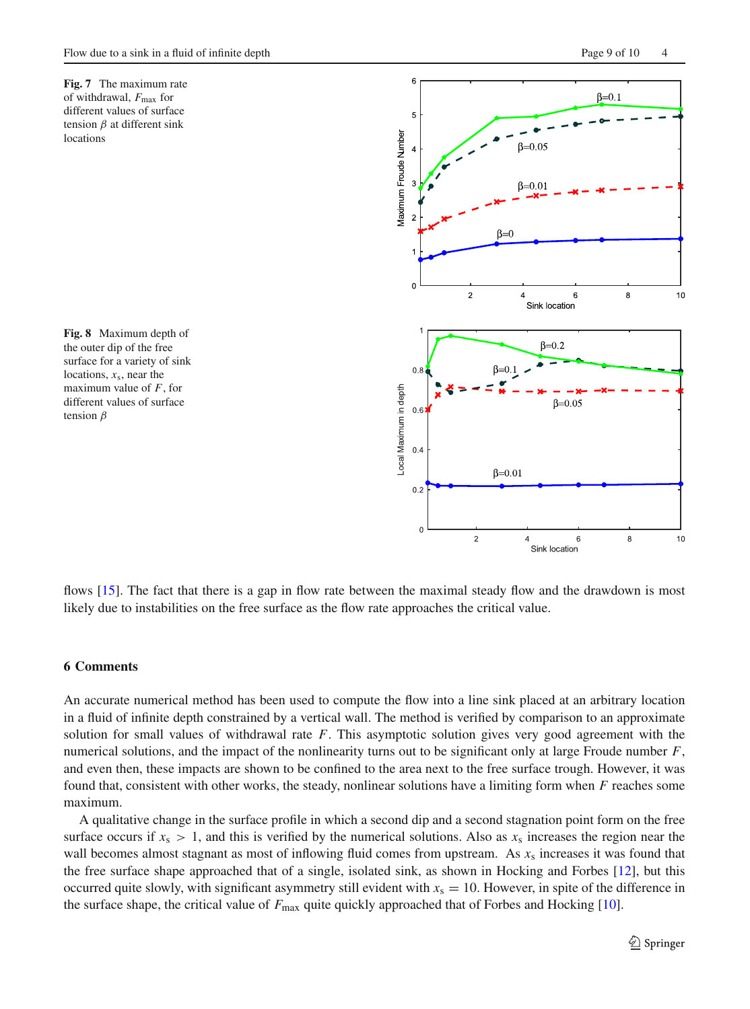<span id="page-8-0"></span>

<span id="page-8-1"></span>**Fig. 8** Maximum depth of the outer dip of the free surface for a variety of sink locations,  $x_s$ , near the maximum value of *F*, for different values of surface tension  $\beta$ 



flows [\[15](#page-9-11)]. The fact that there is a gap in flow rate between the maximal steady flow and the drawdown is most likely due to instabilities on the free surface as the flow rate approaches the critical value.

#### **6 Comments**

An accurate numerical method has been used to compute the flow into a line sink placed at an arbitrary location in a fluid of infinite depth constrained by a vertical wall. The method is verified by comparison to an approximate solution for small values of withdrawal rate *F*. This asymptotic solution gives very good agreement with the numerical solutions, and the impact of the nonlinearity turns out to be significant only at large Froude number *F*, and even then, these impacts are shown to be confined to the area next to the free surface trough. However, it was found that, consistent with other works, the steady, nonlinear solutions have a limiting form when *F* reaches some maximum.

A qualitative change in the surface profile in which a second dip and a second stagnation point form on the free surface occurs if  $x_s > 1$ , and this is verified by the numerical solutions. Also as  $x_s$  increases the region near the wall becomes almost stagnant as most of inflowing fluid comes from upstream. As  $x_s$  increases it was found that the free surface shape approached that of a single, isolated sink, as shown in Hocking and Forbes [\[12\]](#page-9-9), but this occurred quite slowly, with significant asymmetry still evident with  $x_s = 10$ . However, in spite of the difference in the surface shape, the critical value of  $F_{\text{max}}$  quite quickly approached that of Forbes and Hocking [\[10\]](#page-9-7).